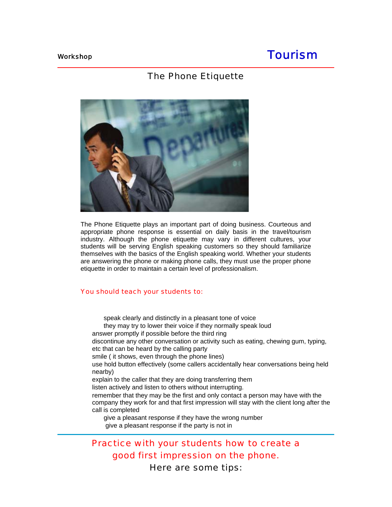# Workshop **Tourism**

# The Phone Etiquette



The Phone Etiquette plays an important part of doing business. Courteous and appropriate phone response is essential on daily basis in the travel/tourism industry. Although the phone etiquette may vary in different cultures, your students will be serving English speaking customers so they should familiarize themselves with the basics of the English speaking world. Whether your students are answering the phone or making phone calls, they must use the proper phone etiquette in order to maintain a certain level of professionalism.

#### You should teach your students to:

 speak clearly and distinctly in a pleasant tone of voice they may try to lower their voice if they normally speak loud answer promptly if possible before the third ring discontinue any other conversation or activity such as eating, chewing gum, typing, etc that can be heard by the calling party smile ( it shows, even through the phone lines) use hold button effectively (some callers accidentally hear conversations being held nearby) explain to the caller that they are doing transferring them listen actively and listen to others without interrupting. remember that they may be the first and only contact a person may have with the company they work for and that first impression will stay with the client long after the call is completed give a pleasant response if they have the wrong number give a pleasant response if the party is not in

# Practice with your students how to create a good first impression on the phone. Here are some tips: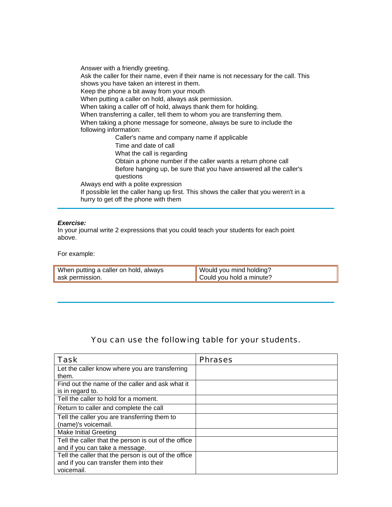Answer with a friendly greeting. Ask the caller for their name, even if their name is not necessary for the call. This shows you have taken an interest in them. Keep the phone a bit away from your mouth When putting a caller on hold, always ask permission. When taking a caller off of hold, always thank them for holding. When transferring a caller, tell them to whom you are transferring them. When taking a phone message for someone, always be sure to include the following information: Caller's name and company name if applicable Time and date of call What the call is regarding Obtain a phone number if the caller wants a return phone call Before hanging up, be sure that you have answered all the caller's questions Always end with a polite expression If possible let the caller hang up first. This shows the caller that you weren't in a hurry to get off the phone with them

#### *Exercise:*

In your journal write 2 expressions that you could teach your students for each point above.

For example:

| When putting a caller on hold, always | Would you mind holding?              |
|---------------------------------------|--------------------------------------|
| ask permission.                       | $\parallel$ Could you hold a minute? |

# You can use the following table for your students.

| <b>Task</b>                                          | <b>Phrases</b> |
|------------------------------------------------------|----------------|
| Let the caller know where you are transferring       |                |
| them.                                                |                |
| Find out the name of the caller and ask what it      |                |
| is in regard to.                                     |                |
| Tell the caller to hold for a moment.                |                |
| Return to caller and complete the call               |                |
| Tell the caller you are transferring them to         |                |
| (name)'s voicemail.                                  |                |
| Make Initial Greeting                                |                |
| Tell the caller that the person is out of the office |                |
| and if you can take a message.                       |                |
| Tell the caller that the person is out of the office |                |
| and if you can transfer them into their              |                |
| voicemail.                                           |                |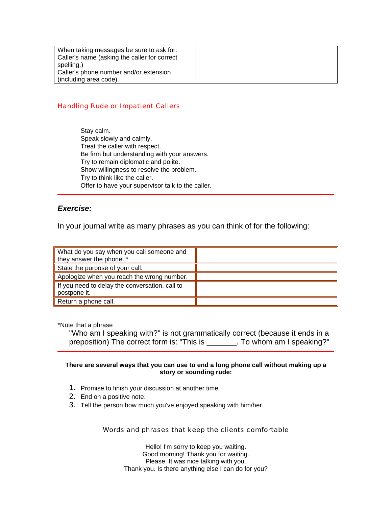| When taking messages be sure to ask for:     |  |
|----------------------------------------------|--|
| Caller's name (asking the caller for correct |  |
| spelling.)                                   |  |
| Caller's phone number and/or extension       |  |
| (including area code)                        |  |

# Handling Rude or Impatient Callers

 Stay calm. Speak slowly and calmly. Treat the caller with respect. Be firm but understanding with your answers. Try to remain diplomatic and polite. Show willingness to resolve the problem. Try to think like the caller. Offer to have your supervisor talk to the caller.

# *Exercise:*

In your journal write as many phrases as you can think of for the following:

| What do you say when you call someone and      |  |
|------------------------------------------------|--|
| they answer the phone. *                       |  |
| State the purpose of your call.                |  |
| Apologize when you reach the wrong number.     |  |
| If you need to delay the conversation, call to |  |
| postpone it.                                   |  |
| Return a phone call.                           |  |

\*Note that a phrase

"Who am I speaking with?" is not grammatically correct (because it ends in a preposition) The correct form is: "This is \_\_\_\_\_\_\_. To whom am I speaking?"

## **There are several ways that you can use to end a long phone call without making up a story or sounding rude:**

- 1. Promise to finish your discussion at another time.
- 2. End on a positive note.
- 3. Tell the person how much you've enjoyed speaking with him/her.

# Words and phrases that keep the clients comfortable

 Hello! I'm sorry to keep you waiting. Good morning! Thank you for waiting. Please. It was nice talking with you. Thank you. Is there anything else I can do for you?